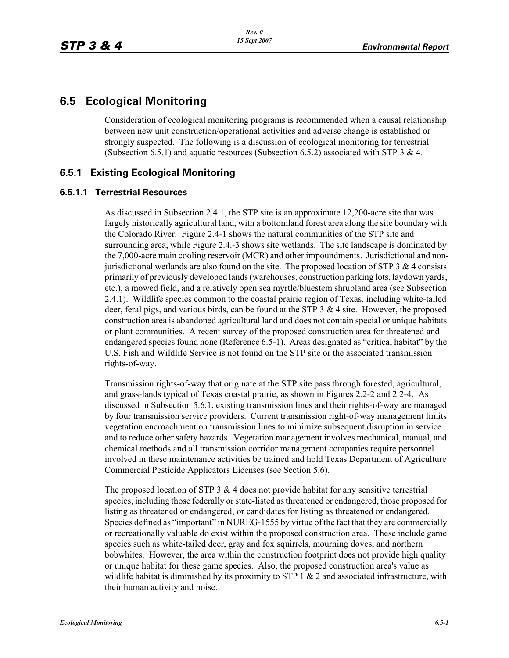# **6.5 Ecological Monitoring**

Consideration of ecological monitoring programs is recommended when a causal relationship between new unit construction/operational activities and adverse change is established or strongly suspected. The following is a discussion of ecological monitoring for terrestrial (Subsection 6.5.1) and aquatic resources (Subsection 6.5.2) associated with STP 3  $\&$  4.

# **6.5.1 Existing Ecological Monitoring**

## **6.5.1.1 Terrestrial Resources**

As discussed in Subsection 2.4.1, the STP site is an approximate 12,200-acre site that was largely historically agricultural land, with a bottomland forest area along the site boundary with the Colorado River. Figure 2.4-1 shows the natural communities of the STP site and surrounding area, while Figure 2.4.-3 shows site wetlands. The site landscape is dominated by the 7,000-acre main cooling reservoir (MCR) and other impoundments. Jurisdictional and nonjurisdictional wetlands are also found on the site. The proposed location of  $STP_3 \& 4$  consists primarily of previously developed lands (warehouses, construction parking lots, laydown yards, etc.), a mowed field, and a relatively open sea myrtle/bluestem shrubland area (see Subsection 2.4.1). Wildlife species common to the coastal prairie region of Texas, including white-tailed deer, feral pigs, and various birds, can be found at the STP  $3 \& 4$  site. However, the proposed construction area is abandoned agricultural land and does not contain special or unique habitats or plant communities. A recent survey of the proposed construction area for threatened and endangered species found none (Reference 6.5-1). Areas designated as "critical habitat" by the U.S. Fish and Wildlife Service is not found on the STP site or the associated transmission rights-of-way.

Transmission rights-of-way that originate at the STP site pass through forested, agricultural, and grass-lands typical of Texas coastal prairie, as shown in Figures 2.2-2 and 2.2-4. As discussed in Subsection 5.6.1, existing transmission lines and their rights-of-way are managed by four transmission service providers. Current transmission right-of-way management limits vegetation encroachment on transmission lines to minimize subsequent disruption in service and to reduce other safety hazards. Vegetation management involves mechanical, manual, and chemical methods and all transmission corridor management companies require personnel involved in these maintenance activities be trained and hold Texas Department of Agriculture Commercial Pesticide Applicators Licenses (see Section 5.6).

The proposed location of STP  $3 \& 4$  does not provide habitat for any sensitive terrestrial species, including those federally or state-listed as threatened or endangered, those proposed for listing as threatened or endangered, or candidates for listing as threatened or endangered. Species defined as "important" in NUREG-1555 by virtue of the fact that they are commercially or recreationally valuable do exist within the proposed construction area. These include game species such as white-tailed deer, gray and fox squirrels, mourning doves, and northern bobwhites. However, the area within the construction footprint does not provide high quality or unique habitat for these game species. Also, the proposed construction area's value as wildlife habitat is diminished by its proximity to STP 1  $\&$  2 and associated infrastructure, with their human activity and noise.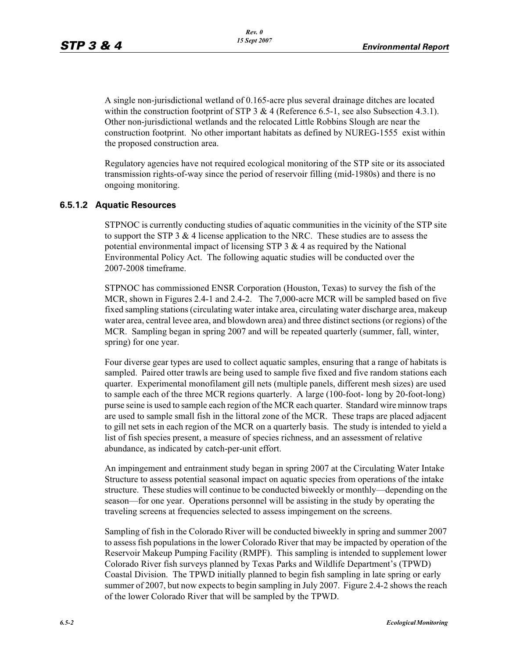A single non-jurisdictional wetland of 0.165-acre plus several drainage ditches are located within the construction footprint of STP 3 & 4 (Reference 6.5-1, see also Subsection 4.3.1). Other non-jurisdictional wetlands and the relocated Little Robbins Slough are near the construction footprint. No other important habitats as defined by NUREG-1555 exist within the proposed construction area.

Regulatory agencies have not required ecological monitoring of the STP site or its associated transmission rights-of-way since the period of reservoir filling (mid-1980s) and there is no ongoing monitoring.

## **6.5.1.2 Aquatic Resources**

STPNOC is currently conducting studies of aquatic communities in the vicinity of the STP site to support the STP 3  $\&$  4 license application to the NRC. These studies are to assess the potential environmental impact of licensing STP  $3 \& 4$  as required by the National Environmental Policy Act. The following aquatic studies will be conducted over the 2007-2008 timeframe.

STPNOC has commissioned ENSR Corporation (Houston, Texas) to survey the fish of the MCR, shown in Figures 2.4-1 and 2.4-2. The 7,000-acre MCR will be sampled based on five fixed sampling stations (circulating water intake area, circulating water discharge area, makeup water area, central levee area, and blowdown area) and three distinct sections (or regions) of the MCR. Sampling began in spring 2007 and will be repeated quarterly (summer, fall, winter, spring) for one year.

Four diverse gear types are used to collect aquatic samples, ensuring that a range of habitats is sampled. Paired otter trawls are being used to sample five fixed and five random stations each quarter. Experimental monofilament gill nets (multiple panels, different mesh sizes) are used to sample each of the three MCR regions quarterly. A large (100-foot- long by 20-foot-long) purse seine is used to sample each region of the MCR each quarter. Standard wire minnow traps are used to sample small fish in the littoral zone of the MCR. These traps are placed adjacent to gill net sets in each region of the MCR on a quarterly basis. The study is intended to yield a list of fish species present, a measure of species richness, and an assessment of relative abundance, as indicated by catch-per-unit effort.

An impingement and entrainment study began in spring 2007 at the Circulating Water Intake Structure to assess potential seasonal impact on aquatic species from operations of the intake structure. These studies will continue to be conducted biweekly or monthly—depending on the season—for one year. Operations personnel will be assisting in the study by operating the traveling screens at frequencies selected to assess impingement on the screens.

Sampling of fish in the Colorado River will be conducted biweekly in spring and summer 2007 to assess fish populations in the lower Colorado River that may be impacted by operation of the Reservoir Makeup Pumping Facility (RMPF). This sampling is intended to supplement lower Colorado River fish surveys planned by Texas Parks and Wildlife Department's (TPWD) Coastal Division. The TPWD initially planned to begin fish sampling in late spring or early summer of 2007, but now expects to begin sampling in July 2007. Figure 2.4-2 shows the reach of the lower Colorado River that will be sampled by the TPWD.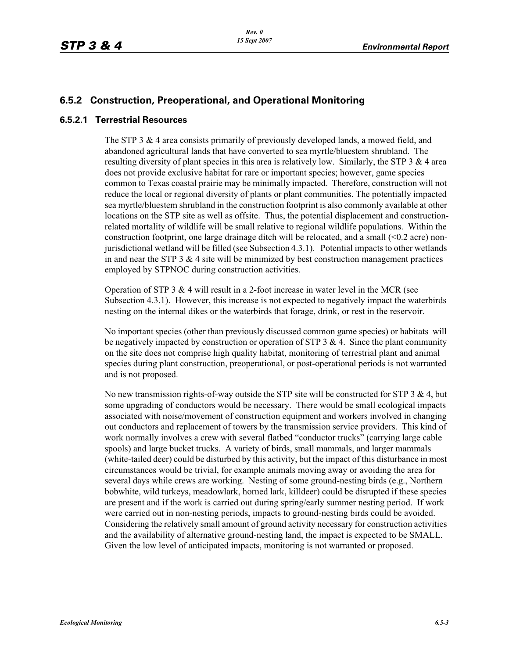## **6.5.2 Construction, Preoperational, and Operational Monitoring**

### **6.5.2.1 Terrestrial Resources**

The STP 3 & 4 area consists primarily of previously developed lands, a mowed field, and abandoned agricultural lands that have converted to sea myrtle/bluestem shrubland. The resulting diversity of plant species in this area is relatively low. Similarly, the STP  $3 \& 4$  area does not provide exclusive habitat for rare or important species; however, game species common to Texas coastal prairie may be minimally impacted. Therefore, construction will not reduce the local or regional diversity of plants or plant communities. The potentially impacted sea myrtle/bluestem shrubland in the construction footprint is also commonly available at other locations on the STP site as well as offsite. Thus, the potential displacement and constructionrelated mortality of wildlife will be small relative to regional wildlife populations. Within the construction footprint, one large drainage ditch will be relocated, and a small  $(\leq 0.2$  acre) nonjurisdictional wetland will be filled (see Subsection 4.3.1). Potential impacts to other wetlands in and near the STP  $3 \& 4$  site will be minimized by best construction management practices employed by STPNOC during construction activities.

Operation of STP 3 & 4 will result in a 2-foot increase in water level in the MCR (see Subsection 4.3.1). However, this increase is not expected to negatively impact the waterbirds nesting on the internal dikes or the waterbirds that forage, drink, or rest in the reservoir.

No important species (other than previously discussed common game species) or habitats will be negatively impacted by construction or operation of STP  $3 \& 4$ . Since the plant community on the site does not comprise high quality habitat, monitoring of terrestrial plant and animal species during plant construction, preoperational, or post-operational periods is not warranted and is not proposed.

No new transmission rights-of-way outside the STP site will be constructed for STP 3  $\&$  4, but some upgrading of conductors would be necessary. There would be small ecological impacts associated with noise/movement of construction equipment and workers involved in changing out conductors and replacement of towers by the transmission service providers. This kind of work normally involves a crew with several flatbed "conductor trucks" (carrying large cable spools) and large bucket trucks. A variety of birds, small mammals, and larger mammals (white-tailed deer) could be disturbed by this activity, but the impact of this disturbance in most circumstances would be trivial, for example animals moving away or avoiding the area for several days while crews are working. Nesting of some ground-nesting birds (e.g., Northern bobwhite, wild turkeys, meadowlark, horned lark, killdeer) could be disrupted if these species are present and if the work is carried out during spring/early summer nesting period. If work were carried out in non-nesting periods, impacts to ground-nesting birds could be avoided. Considering the relatively small amount of ground activity necessary for construction activities and the availability of alternative ground-nesting land, the impact is expected to be SMALL. Given the low level of anticipated impacts, monitoring is not warranted or proposed.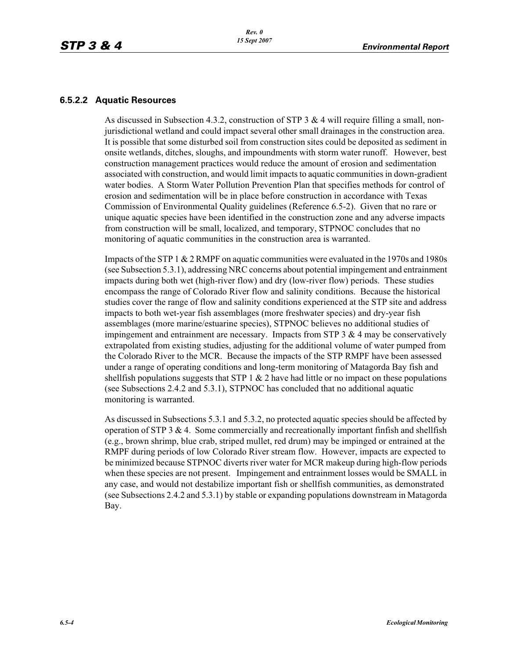### **6.5.2.2 Aquatic Resources**

As discussed in Subsection 4.3.2, construction of STP 3 & 4 will require filling a small, nonjurisdictional wetland and could impact several other small drainages in the construction area. It is possible that some disturbed soil from construction sites could be deposited as sediment in onsite wetlands, ditches, sloughs, and impoundments with storm water runoff. However, best construction management practices would reduce the amount of erosion and sedimentation associated with construction, and would limit impacts to aquatic communities in down-gradient water bodies. A Storm Water Pollution Prevention Plan that specifies methods for control of erosion and sedimentation will be in place before construction in accordance with Texas Commission of Environmental Quality guidelines (Reference 6.5-2). Given that no rare or unique aquatic species have been identified in the construction zone and any adverse impacts from construction will be small, localized, and temporary, STPNOC concludes that no monitoring of aquatic communities in the construction area is warranted.

Impacts of the STP 1 & 2 RMPF on aquatic communities were evaluated in the 1970s and 1980s (see Subsection 5.3.1), addressing NRC concerns about potential impingement and entrainment impacts during both wet (high-river flow) and dry (low-river flow) periods. These studies encompass the range of Colorado River flow and salinity conditions. Because the historical studies cover the range of flow and salinity conditions experienced at the STP site and address impacts to both wet-year fish assemblages (more freshwater species) and dry-year fish assemblages (more marine/estuarine species), STPNOC believes no additional studies of impingement and entrainment are necessary. Impacts from STP  $3 \& 4$  may be conservatively extrapolated from existing studies, adjusting for the additional volume of water pumped from the Colorado River to the MCR. Because the impacts of the STP RMPF have been assessed under a range of operating conditions and long-term monitoring of Matagorda Bay fish and shell fish populations suggests that STP  $1 \& 2$  have had little or no impact on these populations (see Subsections 2.4.2 and 5.3.1), STPNOC has concluded that no additional aquatic monitoring is warranted.

As discussed in Subsections 5.3.1 and 5.3.2, no protected aquatic species should be affected by operation of STP 3  $\&$  4. Some commercially and recreationally important finfish and shellfish (e.g., brown shrimp, blue crab, striped mullet, red drum) may be impinged or entrained at the RMPF during periods of low Colorado River stream flow. However, impacts are expected to be minimized because STPNOC diverts river water for MCR makeup during high-flow periods when these species are not present. Impingement and entrainment losses would be SMALL in any case, and would not destabilize important fish or shellfish communities, as demonstrated (see Subsections 2.4.2 and 5.3.1) by stable or expanding populations downstream in Matagorda Bay.